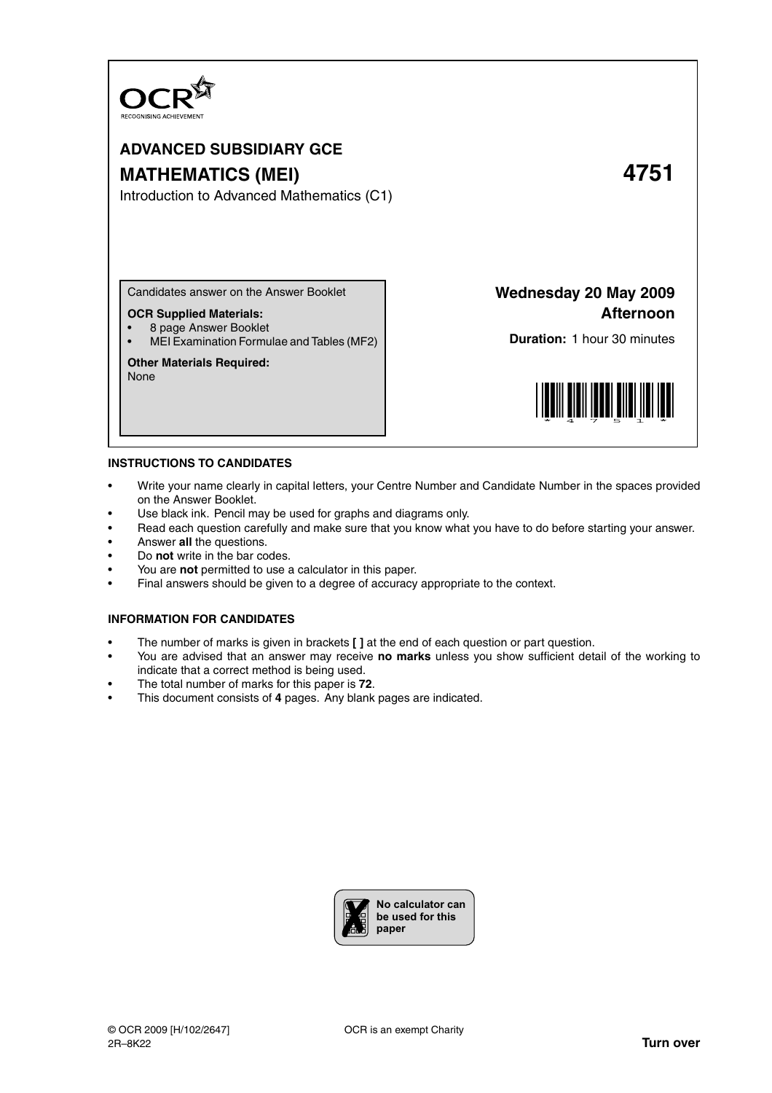

# **ADVANCED SUBSIDIARY GCE MATHEMATICS (MEI) 4751**

Introduction to Advanced Mathematics (C1)

Candidates answer on the Answer Booklet

#### **OCR Supplied Materials:**

• 8 page Answer Booklet

• MEI Examination Formulae and Tables (MF2)

# **Other Materials Required:**

None

**Wednesday 20 May 2009 Afternoon**

**Duration:** 1 hour 30 minutes



#### **INSTRUCTIONS TO CANDIDATES**

- Write your name clearly in capital letters, your Centre Number and Candidate Number in the spaces provided on the Answer Booklet.
- Use black ink. Pencil may be used for graphs and diagrams only.
- Read each question carefully and make sure that you know what you have to do before starting your answer.
- Answer **all** the questions.
- Do **not** write in the bar codes.
- You are **not** permitted to use a calculator in this paper.
- Final answers should be given to a degree of accuracy appropriate to the context.

### **INFORMATION FOR CANDIDATES**

- The number of marks is given in brackets **[ ]** at the end of each question or part question.
- You are advised that an answer may receive **no marks** unless you show sufficient detail of the working to indicate that a correct method is being used.
- The total number of marks for this paper is **72**.
- This document consists of **4** pages. Any blank pages are indicated.

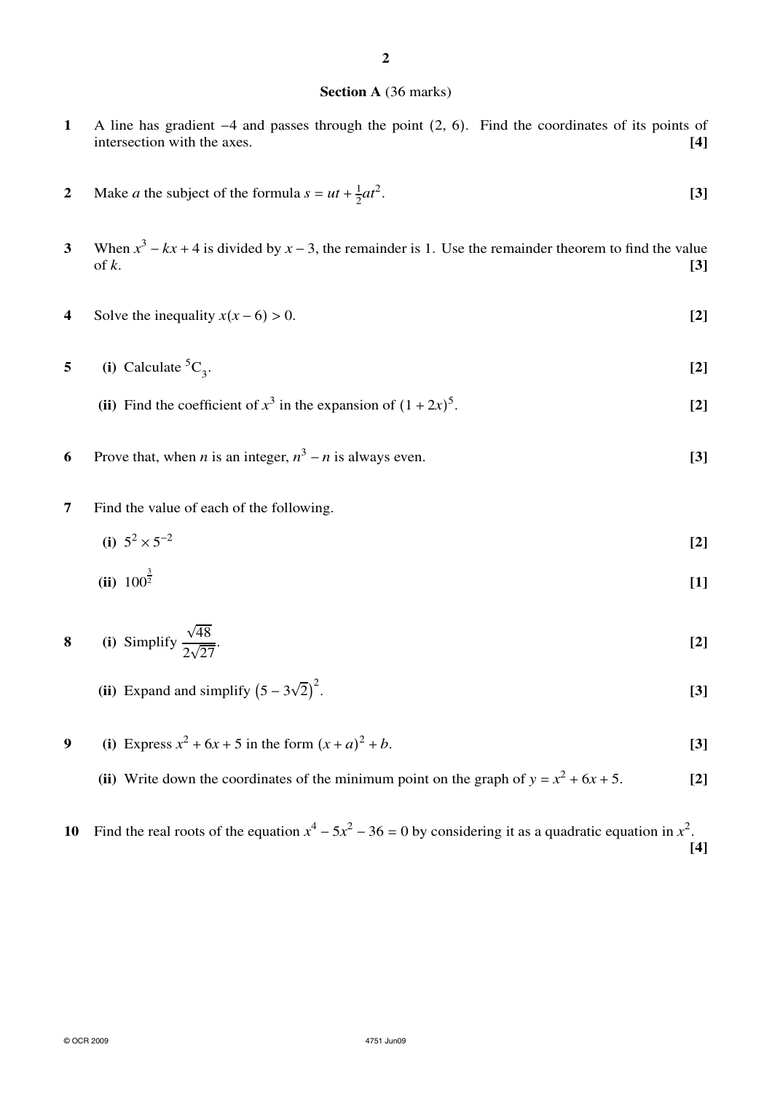## **Section A** (36 marks)

- **1** A line has gradient −4 and passes through the point (2, 6). Find the coordinates of its points of intersection with the axes.
- **2** Make *a* the subject of the formula  $s = ut + \frac{1}{2}$  $rac{1}{2}at^2$ . **[3]**
- **3** When  $x^3 kx + 4$  is divided by  $x 3$ , the remainder is 1. Use the remainder theorem to find the value of  $k$ . **[3]**
- **4** Solve the inequality  $x(x-6) > 0$ . [2]
- **5** (i) Calculate  ${}^5C_3$ . . **[2]**
	- (ii) Find the coefficient of  $x^3$  in the expansion of  $(1 + 2x)^5$ . **[2]**
- **6** Prove that, when *n* is an integer,  $n^3 n$  is always even. **[3]**
- **7** Find the value of each of the following.
	- (i)  $5^2 \times 5^{-2}$ **[2]**
	- $(ii)$  100<sup> $\frac{3}{2}$ </sup> **[1]**

8 (i) Simplify 
$$
\frac{\sqrt{48}}{2\sqrt{27}}
$$
. [2]

- **(ii)** Expand and simplify  $(5 3\sqrt{2})^2$ . **[3]**
- **9** (i) Express  $x^2 + 6x + 5$  in the form  $(x + a)$  $2 + b$ . **[3]** 
	- (ii) Write down the coordinates of the minimum point on the graph of  $y = x^2 + 6x + 5$ . [2]
- 10 Find the real roots of the equation  $x^4 5x^2 36 = 0$  by considering it as a quadratic equation in  $x^2$ . **[4]**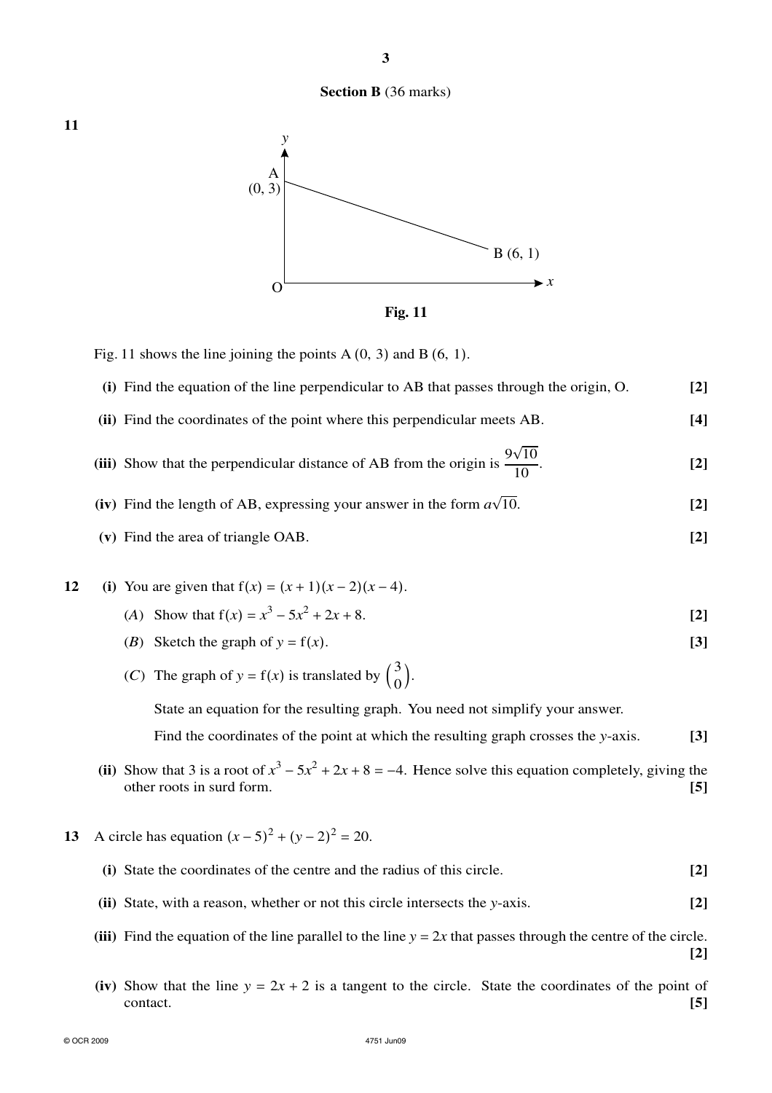# **Section B** (36 marks)



Fig. 11 shows the line joining the points A  $(0, 3)$  and B  $(6, 1)$ .

| (i) Find the equation of the line perpendicular to AB that passes through the origin, O.      | [2] |
|-----------------------------------------------------------------------------------------------|-----|
| (ii) Find the coordinates of the point where this perpendicular meets AB.                     | [4] |
| (iii) Show that the perpendicular distance of AB from the origin is $\frac{9\sqrt{10}}{10}$ . | [2] |

- (iv) Find the length of AB, expressing your answer in the form  $a\sqrt{a}$ 10. **[2]**
- **(v)** Find the area of triangle OAB. **[2]**

12 (i) You are given that 
$$
f(x) = (x + 1)(x - 2)(x - 4)
$$
.

- (*A*) Show that  $f(x) = x^3 5x^2 + 2x + 8$ . **[2]**
- (*B*) Sketch the graph of  $y = f(x)$ . [3]
- (*C*) The graph of  $y = f(x)$  is translated by  $\begin{pmatrix} 3 \\ 0 \end{pmatrix}$  $\begin{array}{c} 0 \\ 0 \end{array}$

State an equation for the resulting graph. You need not simplify your answer.

Find the coordinates of the point at which the resulting graph crosses the *y*-axis. **[3]**

- (ii) Show that 3 is a root of  $x^3 5x^2 + 2x + 8 = -4$ . Hence solve this equation completely, giving the other roots in surd form. **[5]**
- **13** A circle has equation  $(x-5)^2 + (y-2)^2 = 20$ .

| (i) State the coordinates of the centre and the radius of this circle. | $[2]$ |
|------------------------------------------------------------------------|-------|
|------------------------------------------------------------------------|-------|

- **(ii)** State, with a reason, whether or not this circle intersects the *y*-axis. **[2]**
- **(iii)** Find the equation of the line parallel to the line  $y = 2x$  that passes through the centre of the circle. **[2]**
- (iv) Show that the line  $y = 2x + 2$  is a tangent to the circle. State the coordinates of the point of contact. contact. **[5]**

**11**